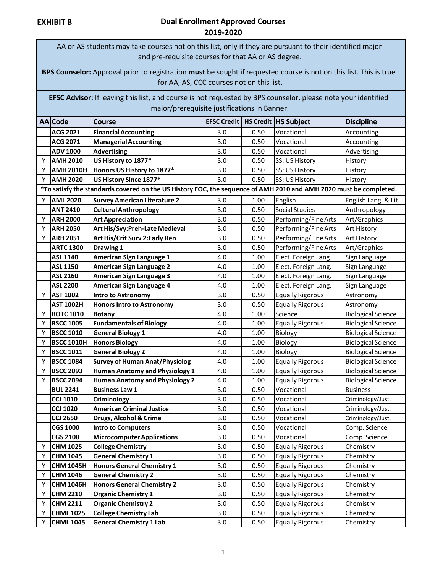AA or AS students may take courses not on this list, only if they are pursuant to their identified major and pre-requisite courses for that AA or AS degree.

**BPS Counselor:** Approval prior to registration **must** be sought if requested course is not on this list. This is true for AA, AS, CCC courses not on this list.

**EFSC Advisor:** If leaving this list, and course is not requested by BPS counselor, please note your identified major/prerequisite justifications in Banner.

|   | AA Code                                                                                                           | Course                                |     |      | <b>EFSC Credit   HS Credit   HS Subject</b> | <b>Discipline</b>         |  |
|---|-------------------------------------------------------------------------------------------------------------------|---------------------------------------|-----|------|---------------------------------------------|---------------------------|--|
|   | <b>ACG 2021</b>                                                                                                   | <b>Financial Accounting</b>           | 3.0 | 0.50 | Vocational                                  | Accounting                |  |
|   | <b>ACG 2071</b>                                                                                                   | <b>Managerial Accounting</b>          | 3.0 | 0.50 | Vocational                                  | Accounting                |  |
|   | <b>ADV 1000</b>                                                                                                   | <b>Advertising</b>                    | 3.0 | 0.50 | Vocational                                  | Advertising               |  |
| Y | <b>AMH 2010</b>                                                                                                   | US History to 1877*                   | 3.0 | 0.50 | SS: US History                              | History                   |  |
| Υ | <b>AMH 2010H</b>                                                                                                  | Honors US History to 1877*            | 3.0 | 0.50 | SS: US History                              | History                   |  |
| Y | <b>AMH 2020</b>                                                                                                   | US History Since 1877*                | 3.0 | 0.50 | SS: US History                              | History                   |  |
|   | *To satisfy the standards covered on the US History EOC, the sequence of AMH 2010 and AMH 2020 must be completed. |                                       |     |      |                                             |                           |  |
| Y | <b>AML 2020</b>                                                                                                   | <b>Survey American Literature 2</b>   | 3.0 | 1.00 | English                                     | English Lang. & Lit.      |  |
|   | <b>ANT 2410</b>                                                                                                   | <b>Cultural Anthropology</b>          | 3.0 | 0.50 | <b>Social Studies</b>                       | Anthropology              |  |
| Y | <b>ARH 2000</b>                                                                                                   | <b>Art Appreciation</b>               | 3.0 | 0.50 | Performing/Fine Arts                        | Art/Graphics              |  |
| Y | <b>ARH 2050</b>                                                                                                   | Art His/Svy:Preh-Late Medieval        | 3.0 | 0.50 | Performing/Fine Arts                        | Art History               |  |
| Y | <b>ARH 2051</b>                                                                                                   | Art His/Crit Surv 2: Early Ren        | 3.0 | 0.50 | Performing/Fine Arts                        | Art History               |  |
|   | <b>ARTC 1300</b>                                                                                                  | <b>Drawing 1</b>                      | 3.0 | 0.50 | Performing/Fine Arts                        | Art/Graphics              |  |
|   | <b>ASL 1140</b>                                                                                                   | <b>American Sign Language 1</b>       | 4.0 | 1.00 | Elect. Foreign Lang.                        | Sign Language             |  |
|   | <b>ASL 1150</b>                                                                                                   | <b>American Sign Language 2</b>       | 4.0 | 1.00 | Elect. Foreign Lang.                        | Sign Language             |  |
|   | <b>ASL 2160</b>                                                                                                   | <b>American Sign Language 3</b>       | 4.0 | 1.00 | Elect. Foreign Lang.                        | Sign Language             |  |
|   | <b>ASL 2200</b>                                                                                                   | <b>American Sign Language 4</b>       | 4.0 | 1.00 | Elect. Foreign Lang.                        | Sign Language             |  |
| Y | <b>AST 1002</b>                                                                                                   | <b>Intro to Astronomy</b>             | 3.0 | 0.50 | <b>Equally Rigorous</b>                     | Astronomy                 |  |
|   | <b>AST 1002H</b>                                                                                                  | <b>Honors Intro to Astronomy</b>      | 3.0 | 0.50 | <b>Equally Rigorous</b>                     | Astronomy                 |  |
| Y | <b>BOTC 1010</b>                                                                                                  | <b>Botany</b>                         | 4.0 | 1.00 | Science                                     | <b>Biological Science</b> |  |
| Y | <b>BSCC 1005</b>                                                                                                  | <b>Fundamentals of Biology</b>        | 4.0 | 1.00 | <b>Equally Rigorous</b>                     | <b>Biological Science</b> |  |
| Y | <b>BSCC 1010</b>                                                                                                  | <b>General Biology 1</b>              | 4.0 | 1.00 | Biology                                     | <b>Biological Science</b> |  |
| Y | <b>BSCC 1010H</b>                                                                                                 | <b>Honors Biology</b>                 | 4.0 | 1.00 | Biology                                     | <b>Biological Science</b> |  |
| Y | <b>BSCC 1011</b>                                                                                                  | <b>General Biology 2</b>              | 4.0 | 1.00 | Biology                                     | <b>Biological Science</b> |  |
| Y | <b>BSCC 1084</b>                                                                                                  | <b>Survey of Human Anat/Physiolog</b> | 4.0 | 1.00 | <b>Equally Rigorous</b>                     | <b>Biological Science</b> |  |
| Y | <b>BSCC 2093</b>                                                                                                  | <b>Human Anatomy and Physiology 1</b> | 4.0 | 1.00 | <b>Equally Rigorous</b>                     | <b>Biological Science</b> |  |
| Y | <b>BSCC 2094</b>                                                                                                  | <b>Human Anatomy and Physiology 2</b> | 4.0 | 1.00 | <b>Equally Rigorous</b>                     | <b>Biological Science</b> |  |
|   | <b>BUL 2241</b>                                                                                                   | <b>Business Law 1</b>                 | 3.0 | 0.50 | Vocational                                  | <b>Business</b>           |  |
|   | <b>CCJ 1010</b>                                                                                                   | Criminology                           | 3.0 | 0.50 | Vocational                                  | Criminology/Just.         |  |
|   | <b>CCJ 1020</b>                                                                                                   | <b>American Criminal Justice</b>      | 3.0 | 0.50 | Vocational                                  | Criminology/Just.         |  |
|   | <b>CCJ 2650</b>                                                                                                   | Drugs, Alcohol & Crime                | 3.0 | 0.50 | Vocational                                  | Criminology/Just.         |  |
|   | <b>CGS 1000</b>                                                                                                   | <b>Intro to Computers</b>             | 3.0 | 0.50 | Vocational                                  | Comp. Science             |  |
|   | <b>CGS 2100</b>                                                                                                   | <b>Microcomputer Applications</b>     | 3.0 | 0.50 | Vocational                                  | Comp. Science             |  |
| Y | <b>CHM 1025</b>                                                                                                   | <b>College Chemistry</b>              | 3.0 | 0.50 | <b>Equally Rigorous</b>                     | Chemistry                 |  |
| Y | <b>CHM 1045</b>                                                                                                   | <b>General Chemistry 1</b>            | 3.0 | 0.50 | <b>Equally Rigorous</b>                     | Chemistry                 |  |
| Y | <b>CHM 1045H</b>                                                                                                  | <b>Honors General Chemistry 1</b>     | 3.0 | 0.50 | <b>Equally Rigorous</b>                     | Chemistry                 |  |
| Y | <b>CHM 1046</b>                                                                                                   | <b>General Chemistry 2</b>            | 3.0 | 0.50 | <b>Equally Rigorous</b>                     | Chemistry                 |  |
| Y | <b>CHM 1046H</b>                                                                                                  | <b>Honors General Chemistry 2</b>     | 3.0 | 0.50 | <b>Equally Rigorous</b>                     | Chemistry                 |  |
| Y | <b>CHM 2210</b>                                                                                                   | <b>Organic Chemistry 1</b>            | 3.0 | 0.50 | <b>Equally Rigorous</b>                     | Chemistry                 |  |
| Y | <b>CHM 2211</b>                                                                                                   | <b>Organic Chemistry 2</b>            | 3.0 | 0.50 | <b>Equally Rigorous</b>                     | Chemistry                 |  |
| Y | <b>CHML 1025</b>                                                                                                  | <b>College Chemistry Lab</b>          | 3.0 | 0.50 | <b>Equally Rigorous</b>                     | Chemistry                 |  |
| Y | <b>CHML 1045</b>                                                                                                  | <b>General Chemistry 1 Lab</b>        | 3.0 | 0.50 | <b>Equally Rigorous</b>                     | Chemistry                 |  |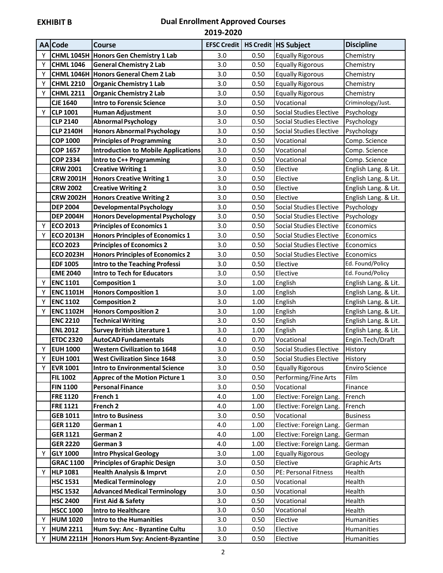|   | AA Code          | <b>Course</b>                              |     |      | <b>EFSC Credit   HS Credit   HS Subject</b> | <b>Discipline</b>     |
|---|------------------|--------------------------------------------|-----|------|---------------------------------------------|-----------------------|
| Υ |                  | CHML 1045H Honors Gen Chemistry 1 Lab      | 3.0 | 0.50 | <b>Equally Rigorous</b>                     | Chemistry             |
| Υ | <b>CHML 1046</b> | <b>General Chemistry 2 Lab</b>             | 3.0 | 0.50 | <b>Equally Rigorous</b>                     | Chemistry             |
| Υ |                  | CHML 1046H Honors General Chem 2 Lab       | 3.0 | 0.50 | <b>Equally Rigorous</b>                     | Chemistry             |
| Υ | <b>CHML 2210</b> | <b>Organic Chemistry 1 Lab</b>             | 3.0 | 0.50 | <b>Equally Rigorous</b>                     | Chemistry             |
| Υ | <b>CHML 2211</b> | <b>Organic Chemistry 2 Lab</b>             | 3.0 | 0.50 | <b>Equally Rigorous</b>                     | Chemistry             |
|   | <b>CJE 1640</b>  | <b>Intro to Forensic Science</b>           | 3.0 | 0.50 | Vocational                                  | Criminology/Just.     |
| Υ | <b>CLP 1001</b>  | <b>Human Adjustment</b>                    | 3.0 | 0.50 | <b>Social Studies Elective</b>              | Psychology            |
|   | <b>CLP 2140</b>  | <b>Abnormal Psychology</b>                 | 3.0 | 0.50 | <b>Social Studies Elective</b>              | Psychology            |
|   | <b>CLP 2140H</b> | <b>Honors Abnormal Psychology</b>          | 3.0 | 0.50 | Social Studies Elective                     | Psychology            |
|   | <b>COP 1000</b>  | <b>Principles of Programming</b>           | 3.0 | 0.50 | Vocational                                  | Comp. Science         |
|   | <b>COP 1657</b>  | <b>Introduction to Mobile Applications</b> | 3.0 | 0.50 | Vocational                                  | Comp. Science         |
|   | <b>COP 2334</b>  | Intro to C++ Programming                   | 3.0 | 0.50 | Vocational                                  | Comp. Science         |
|   | <b>CRW 2001</b>  | <b>Creative Writing 1</b>                  | 3.0 | 0.50 | Elective                                    | English Lang. & Lit.  |
|   | <b>CRW 2001H</b> | <b>Honors Creative Writing 1</b>           | 3.0 | 0.50 | Elective                                    | English Lang. & Lit.  |
|   | <b>CRW 2002</b>  | <b>Creative Writing 2</b>                  | 3.0 | 0.50 | Elective                                    | English Lang. & Lit.  |
|   | <b>CRW 2002H</b> | <b>Honors Creative Writing 2</b>           | 3.0 | 0.50 | Elective                                    | English Lang. & Lit.  |
|   | <b>DEP 2004</b>  | <b>Developmental Psychology</b>            | 3.0 | 0.50 | Social Studies Elective                     | Psychology            |
|   | <b>DEP 2004H</b> | <b>Honors Developmental Psychology</b>     | 3.0 | 0.50 | Social Studies Elective                     | Psychology            |
| Υ | <b>ECO 2013</b>  | <b>Principles of Economics 1</b>           | 3.0 | 0.50 | <b>Social Studies Elective</b>              | Economics             |
| Υ | <b>ECO 2013H</b> | <b>Honors Principles of Economics 1</b>    | 3.0 | 0.50 | <b>Social Studies Elective</b>              | Economics             |
|   | <b>ECO 2023</b>  | <b>Principles of Economics 2</b>           | 3.0 | 0.50 | <b>Social Studies Elective</b>              | Economics             |
|   | <b>ECO 2023H</b> | <b>Honors Principles of Economics 2</b>    | 3.0 | 0.50 | <b>Social Studies Elective</b>              | Economics             |
|   | <b>EDF 1005</b>  | <b>Intro to the Teaching Professi</b>      | 3.0 | 0.50 | Elective                                    | Ed. Found/Policy      |
|   | <b>EME 2040</b>  | <b>Intro to Tech for Educators</b>         | 3.0 | 0.50 | Elective                                    | Ed. Found/Policy      |
| Υ | <b>ENC 1101</b>  | <b>Composition 1</b>                       | 3.0 | 1.00 | English                                     | English Lang. & Lit.  |
| Υ | <b>ENC 1101H</b> | <b>Honors Composition 1</b>                | 3.0 | 1.00 | English                                     | English Lang. & Lit.  |
| Υ | <b>ENC 1102</b>  | <b>Composition 2</b>                       | 3.0 | 1.00 | English                                     | English Lang. & Lit.  |
| Υ | <b>ENC 1102H</b> | <b>Honors Composition 2</b>                | 3.0 | 1.00 | English                                     | English Lang. & Lit.  |
|   | <b>ENC 2210</b>  | <b>Technical Writing</b>                   | 3.0 | 0.50 | English                                     | English Lang. & Lit.  |
|   | <b>ENL 2012</b>  | <b>Survey British Literature 1</b>         | 3.0 | 1.00 | English                                     | English Lang. & Lit.  |
|   | <b>ETDC 2320</b> | <b>AutoCAD Fundamentals</b>                | 4.0 | 0.70 | Vocational                                  | Engin.Tech/Draft      |
| Υ | <b>EUH 1000</b>  | <b>Western Civilization to 1648</b>        | 3.0 | 0.50 | <b>Social Studies Elective</b>              | History               |
| Y | <b>EUH 1001</b>  | <b>West Civilization Since 1648</b>        | 3.0 | 0.50 | Social Studies Elective                     | History               |
| Υ | <b>EVR 1001</b>  | <b>Intro to Environmental Science</b>      | 3.0 | 0.50 | <b>Equally Rigorous</b>                     | <b>Enviro Science</b> |
|   | <b>FIL 1002</b>  | <b>Apprec of the Motion Picture 1</b>      | 3.0 | 0.50 | Performing/Fine Arts                        | Film                  |
|   | <b>FIN 1100</b>  | <b>Personal Finance</b>                    | 3.0 | 0.50 | Vocational                                  | Finance               |
|   | <b>FRE 1120</b>  | French 1                                   | 4.0 | 1.00 | Elective: Foreign Lang.                     | French                |
|   | <b>FRE 1121</b>  | French <sub>2</sub>                        | 4.0 | 1.00 | Elective: Foreign Lang.                     | French                |
|   | <b>GEB 1011</b>  | <b>Intro to Business</b>                   | 3.0 | 0.50 | Vocational                                  | <b>Business</b>       |
|   | GER 1120         | German 1                                   | 4.0 | 1.00 | Elective: Foreign Lang.                     | German                |
|   | <b>GER 1121</b>  | German 2                                   | 4.0 | 1.00 | Elective: Foreign Lang.                     | German                |
|   | <b>GER 2220</b>  | German 3                                   | 4.0 | 1.00 | Elective: Foreign Lang.                     | German                |
| Υ | <b>GLY 1000</b>  | <b>Intro Physical Geology</b>              | 3.0 | 1.00 | <b>Equally Rigorous</b>                     | Geology               |
|   | <b>GRAC 1100</b> | <b>Principles of Graphic Design</b>        | 3.0 | 0.50 | Elective                                    | <b>Graphic Arts</b>   |
| Υ | <b>HLP 1081</b>  | <b>Health Analysis &amp; Imprvt</b>        | 2.0 | 0.50 | PE: Personal Fitness                        | Health                |
|   | <b>HSC 1531</b>  | <b>Medical Terminology</b>                 | 2.0 | 0.50 | Vocational                                  | Health                |
|   | <b>HSC 1532</b>  | <b>Advanced Medical Terminology</b>        | 3.0 | 0.50 | Vocational                                  | Health                |
|   | <b>HSC 2400</b>  | <b>First Aid &amp; Safety</b>              | 3.0 | 0.50 | Vocational                                  | Health                |
|   | <b>HSCC 1000</b> | Intro to Healthcare                        | 3.0 | 0.50 | Vocational                                  | Health                |
| Υ | <b>HUM 1020</b>  | <b>Intro to the Humanities</b>             | 3.0 | 0.50 | Elective                                    | Humanities            |
| Υ | <b>HUM 2211</b>  | Hum Svy: Anc - Byzantine Cultu             | 3.0 | 0.50 | Elective                                    | Humanities            |
| Y | <b>HUM 2211H</b> | Honors Hum Svy: Ancient-Byzantine          | 3.0 | 0.50 | Elective                                    | Humanities            |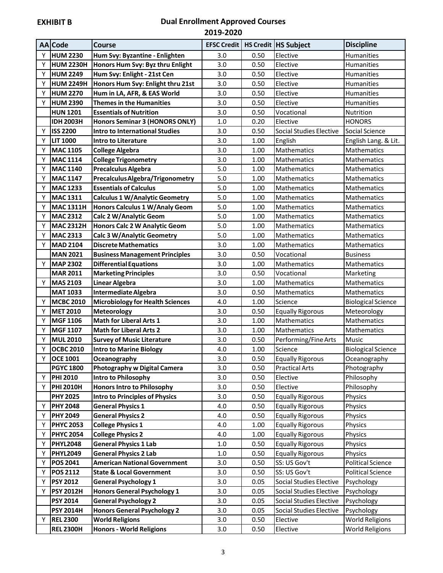|   | <b>AA</b> Code   | <b>Course</b>                         |         |      | <b>EFSC Credit   HS Credit   HS Subject</b> | <b>Discipline</b>         |
|---|------------------|---------------------------------------|---------|------|---------------------------------------------|---------------------------|
| Υ | <b>HUM 2230</b>  | Hum Svy: Byzantine - Enlighten        | 3.0     | 0.50 | Elective                                    | <b>Humanities</b>         |
| Υ | <b>HUM 2230H</b> | Honors Hum Svy: Byz thru Enlight      | 3.0     | 0.50 | Elective                                    | Humanities                |
| Υ | <b>HUM 2249</b>  | Hum Svy: Enlight - 21st Cen           | 3.0     | 0.50 | Elective                                    | Humanities                |
| Υ | <b>HUM 2249H</b> | Honors Hum Svy: Enlight thru 21st     | 3.0     | 0.50 | Elective                                    | Humanities                |
| Υ | <b>HUM 2270</b>  | Hum in LA, AFR, & EAS World           | 3.0     | 0.50 | Elective                                    | Humanities                |
| Υ | <b>HUM 2390</b>  | <b>Themes in the Humanities</b>       | 3.0     | 0.50 | Elective                                    | Humanities                |
|   | <b>HUN 1201</b>  | <b>Essentials of Nutrition</b>        | 3.0     | 0.50 | Vocational                                  | Nutrition                 |
|   | <b>IDH 2003H</b> | <b>Honors Seminar 3 (HONORS ONLY)</b> | 1.0     | 0.20 | Elective                                    | <b>HONORS</b>             |
| Υ | <b>ISS 2200</b>  | <b>Intro to International Studies</b> | 3.0     | 0.50 | <b>Social Studies Elective</b>              | Social Science            |
| Υ | <b>LIT 1000</b>  | <b>Intro to Literature</b>            | 3.0     | 1.00 | English                                     | English Lang. & Lit.      |
| Υ | <b>MAC 1105</b>  | <b>College Algebra</b>                | 3.0     | 1.00 | Mathematics                                 | Mathematics               |
| Υ | <b>MAC 1114</b>  | <b>College Trigonometry</b>           | 3.0     | 1.00 | Mathematics                                 | Mathematics               |
| Υ | <b>MAC 1140</b>  | <b>Precalculus Algebra</b>            | 5.0     | 1.00 | Mathematics                                 | Mathematics               |
| Υ | <b>MAC 1147</b>  | Precalculus Algebra/Trigonometry      | 5.0     | 1.00 | Mathematics                                 | Mathematics               |
| Υ | <b>MAC 1233</b>  | <b>Essentials of Calculus</b>         | 5.0     | 1.00 | Mathematics                                 | Mathematics               |
| Υ | <b>MAC 1311</b>  | <b>Calculus 1 W/Analytic Geometry</b> | 5.0     | 1.00 | Mathematics                                 | Mathematics               |
| Υ | <b>MAC 1311H</b> | Honors Calculus 1 W/Analy Geom        | 5.0     | 1.00 | Mathematics                                 | Mathematics               |
| Υ | <b>MAC 2312</b>  | Calc 2 W/Analytic Geom                | 5.0     | 1.00 | Mathematics                                 | Mathematics               |
| Υ | <b>MAC 2312H</b> | <b>Honors Calc 2 W Analytic Geom</b>  | 5.0     | 1.00 | Mathematics                                 | <b>Mathematics</b>        |
| Υ | <b>MAC 2313</b>  | <b>Calc 3 W/Analytic Geometry</b>     | 5.0     | 1.00 | Mathematics                                 | Mathematics               |
| Y | <b>MAD 2104</b>  | <b>Discrete Mathematics</b>           | 3.0     | 1.00 | Mathematics                                 | Mathematics               |
|   | <b>MAN 2021</b>  | <b>Business Management Principles</b> | 3.0     | 0.50 | Vocational                                  | <b>Business</b>           |
| Υ | <b>MAP 2302</b>  | <b>Differential Equations</b>         | 3.0     | 1.00 | <b>Mathematics</b>                          | Mathematics               |
|   | <b>MAR 2011</b>  | <b>Marketing Principles</b>           | 3.0     | 0.50 | Vocational                                  | Marketing                 |
| Υ | <b>MAS 2103</b>  | <b>Linear Algebra</b>                 | 3.0     | 1.00 | Mathematics                                 | Mathematics               |
|   | <b>MAT 1033</b>  | Intermediate Algebra                  | 3.0     | 0.50 | Mathematics                                 | Mathematics               |
| Y | <b>MCBC 2010</b> | Microbiology for Health Sciences      | 4.0     | 1.00 | Science                                     | <b>Biological Science</b> |
| Υ | <b>MET 2010</b>  | <b>Meteorology</b>                    | 3.0     | 0.50 | <b>Equally Rigorous</b>                     | Meteorology               |
| Υ | <b>MGF 1106</b>  | <b>Math for Liberal Arts 1</b>        | 3.0     | 1.00 | Mathematics                                 | Mathematics               |
| Υ | <b>MGF 1107</b>  | <b>Math for Liberal Arts 2</b>        | 3.0     | 1.00 | Mathematics                                 | Mathematics               |
| Υ | <b>MUL 2010</b>  | <b>Survey of Music Literature</b>     | 3.0     | 0.50 | Performing/Fine Arts                        | Music                     |
| Y | <b>OCBC 2010</b> | <b>Intro to Marine Biology</b>        | 4.0     | 1.00 | Science                                     | <b>Biological Science</b> |
| Υ | <b>OCE 1001</b>  | Oceanography                          | 3.0     | 0.50 | <b>Equally Rigorous</b>                     | Oceanography              |
|   | <b>PGYC 1800</b> | <b>Photography w Digital Camera</b>   | 3.0     | 0.50 | <b>Practical Arts</b>                       | Photography               |
| Υ | <b>PHI 2010</b>  | <b>Intro to Philosophy</b>            | 3.0     | 0.50 | Elective                                    | Philosophy                |
| Υ | <b>PHI 2010H</b> | <b>Honors Intro to Philosophy</b>     | 3.0     | 0.50 | Elective                                    | Philosophy                |
|   | <b>PHY 2025</b>  | <b>Intro to Principles of Physics</b> | 3.0     | 0.50 | <b>Equally Rigorous</b>                     | Physics                   |
| Υ | <b>PHY 2048</b>  | <b>General Physics 1</b>              | 4.0     | 0.50 | <b>Equally Rigorous</b>                     | Physics                   |
| Υ | <b>PHY 2049</b>  | <b>General Physics 2</b>              | $4.0\,$ | 0.50 | <b>Equally Rigorous</b>                     | Physics                   |
| Υ | <b>PHYC 2053</b> | <b>College Physics 1</b>              | 4.0     | 1.00 | <b>Equally Rigorous</b>                     | Physics                   |
| Υ | <b>PHYC 2054</b> | <b>College Physics 2</b>              | 4.0     | 1.00 | <b>Equally Rigorous</b>                     | Physics                   |
| Υ | <b>PHYL2048</b>  | <b>General Physics 1 Lab</b>          | $1.0\,$ | 0.50 | <b>Equally Rigorous</b>                     | Physics                   |
| Υ | <b>PHYL2049</b>  | <b>General Physics 2 Lab</b>          | $1.0\,$ | 0.50 | <b>Equally Rigorous</b>                     | Physics                   |
| Υ | <b>POS 2041</b>  | <b>American National Government</b>   | 3.0     | 0.50 | SS: US Gov't                                | <b>Political Science</b>  |
| Υ | <b>POS 2112</b>  | <b>State &amp; Local Government</b>   | 3.0     | 0.50 | SS: US Gov't                                | <b>Political Science</b>  |
| Υ | <b>PSY 2012</b>  | <b>General Psychology 1</b>           | 3.0     | 0.05 | <b>Social Studies Elective</b>              | Psychology                |
| Υ | <b>PSY 2012H</b> | <b>Honors General Psychology 1</b>    | 3.0     | 0.05 | Social Studies Elective                     | Psychology                |
|   | <b>PSY 2014</b>  | <b>General Psychology 2</b>           | 3.0     | 0.05 | Social Studies Elective                     | Psychology                |
|   | <b>PSY 2014H</b> | <b>Honors General Psychology 2</b>    | 3.0     | 0.05 | <b>Social Studies Elective</b>              | Psychology                |
| Υ | <b>REL 2300</b>  | <b>World Religions</b>                | 3.0     | 0.50 | Elective                                    | <b>World Religions</b>    |
|   | <b>REL 2300H</b> | <b>Honors - World Religions</b>       | 3.0     | 0.50 | Elective                                    | <b>World Religions</b>    |